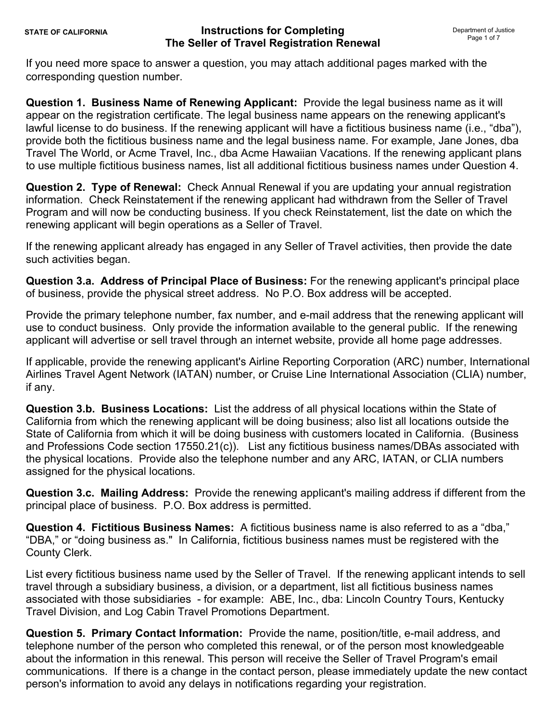If you need more space to answer a question, you may attach additional pages marked with the corresponding question number.

**Question 1. Business Name of Renewing Applicant:** Provide the legal business name as it will appear on the registration certificate. The legal business name appears on the renewing applicant's lawful license to do business. If the renewing applicant will have a fictitious business name (i.e., "dba"), provide both the fictitious business name and the legal business name. For example, Jane Jones, dba Travel The World, or Acme Travel, Inc., dba Acme Hawaiian Vacations. If the renewing applicant plans to use multiple fictitious business names, list all additional fictitious business names under Question 4.

**Question 2. Type of Renewal:** Check Annual Renewal if you are updating your annual registration information. Check Reinstatement if the renewing applicant had withdrawn from the Seller of Travel Program and will now be conducting business. If you check Reinstatement, list the date on which the renewing applicant will begin operations as a Seller of Travel.

If the renewing applicant already has engaged in any Seller of Travel activities, then provide the date such activities began.

**Question 3.a. Address of Principal Place of Business:** For the renewing applicant's principal place of business, provide the physical street address. No P.O. Box address will be accepted.

Provide the primary telephone number, fax number, and e-mail address that the renewing applicant will use to conduct business. Only provide the information available to the general public. If the renewing applicant will advertise or sell travel through an internet website, provide all home page addresses.

If applicable, provide the renewing applicant's Airline Reporting Corporation (ARC) number, International Airlines Travel Agent Network (IATAN) number, or Cruise Line International Association (CLIA) number, if any.

**Question 3.b. Business Locations:** List the address of all physical locations within the State of California from which the renewing applicant will be doing business; also list all locations outside the State of California from which it will be doing business with customers located in California. (Business and Professions Code section 17550.21(c)). List any fictitious business names/DBAs associated with the physical locations. Provide also the telephone number and any ARC, IATAN, or CLIA numbers assigned for the physical locations.

**Question 3.c. Mailing Address:** Provide the renewing applicant's mailing address if different from the principal place of business. P.O. Box address is permitted.

**Question 4. Fictitious Business Names:** A fictitious business name is also referred to as a "dba," "DBA," or "doing business as." In California, fictitious business names must be registered with the County Clerk.

List every fictitious business name used by the Seller of Travel. If the renewing applicant intends to sell travel through a subsidiary business, a division, or a department, list all fictitious business names associated with those subsidiaries - for example: ABE, Inc., dba: Lincoln Country Tours, Kentucky Travel Division, and Log Cabin Travel Promotions Department.

**Question 5. Primary Contact Information:** Provide the name, position/title, e-mail address, and telephone number of the person who completed this renewal, or of the person most knowledgeable about the information in this renewal. This person will receive the Seller of Travel Program's email communications. If there is a change in the contact person, please immediately update the new contact person's information to avoid any delays in notifications regarding your registration.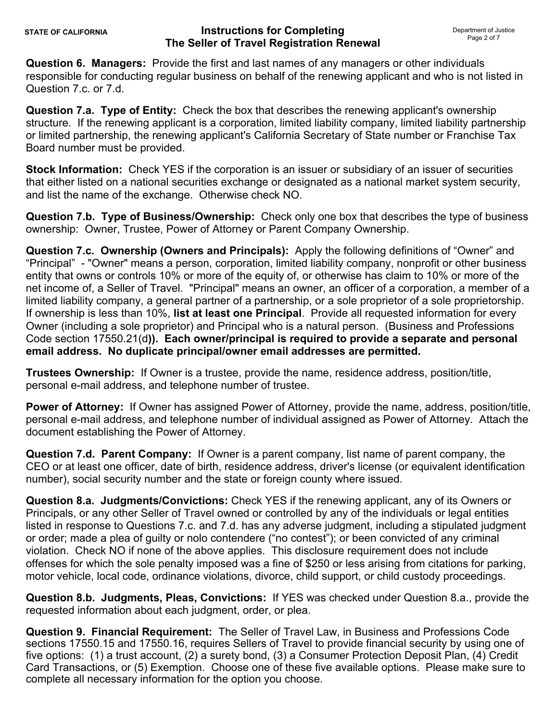**Question 6. Managers:** Provide the first and last names of any managers or other individuals responsible for conducting regular business on behalf of the renewing applicant and who is not listed in Question 7.c. or 7.d.

**Question 7.a. Type of Entity:** Check the box that describes the renewing applicant's ownership structure. If the renewing applicant is a corporation, limited liability company, limited liability partnership or limited partnership, the renewing applicant's California Secretary of State number or Franchise Tax Board number must be provided.

**Stock Information:** Check YES if the corporation is an issuer or subsidiary of an issuer of securities that either listed on a national securities exchange or designated as a national market system security, and list the name of the exchange. Otherwise check NO.

**Question 7.b. Type of Business/Ownership:** Check only one box that describes the type of business ownership: Owner, Trustee, Power of Attorney or Parent Company Ownership.

**Question 7.c. Ownership (Owners and Principals):** Apply the following definitions of "Owner" and "Principal" - "Owner" means a person, corporation, limited liability company, nonprofit or other business entity that owns or controls 10% or more of the equity of, or otherwise has claim to 10% or more of the net income of, a Seller of Travel. "Principal" means an owner, an officer of a corporation, a member of a limited liability company, a general partner of a partnership, or a sole proprietor of a sole proprietorship. If ownership is less than 10%, **list at least one Principal**. Provide all requested information for every Owner (including a sole proprietor) and Principal who is a natural person. (Business and Professions Code section 17550.21(d**)). Each owner/principal is required to provide a separate and personal email address. No duplicate principal/owner email addresses are permitted.** 

**Trustees Ownership:** If Owner is a trustee, provide the name, residence address, position/title, personal e-mail address, and telephone number of trustee.

**Power of Attorney:** If Owner has assigned Power of Attorney, provide the name, address, position/title, personal e-mail address, and telephone number of individual assigned as Power of Attorney. Attach the document establishing the Power of Attorney.

**Question 7.d. Parent Company:** If Owner is a parent company, list name of parent company, the CEO or at least one officer, date of birth, residence address, driver's license (or equivalent identification number), social security number and the state or foreign county where issued.

**Question 8.a. Judgments/Convictions:** Check YES if the renewing applicant, any of its Owners or Principals, or any other Seller of Travel owned or controlled by any of the individuals or legal entities listed in response to Questions 7.c. and 7.d. has any adverse judgment, including a stipulated judgment or order; made a plea of guilty or nolo contendere ("no contest"); or been convicted of any criminal violation. Check NO if none of the above applies. This disclosure requirement does not include offenses for which the sole penalty imposed was a fine of \$250 or less arising from citations for parking, motor vehicle, local code, ordinance violations, divorce, child support, or child custody proceedings.

**Question 8.b. Judgments, Pleas, Convictions:** If YES was checked under Question 8.a., provide the requested information about each judgment, order, or plea.

**Question 9. Financial Requirement:** The Seller of Travel Law, in Business and Professions Code sections 17550.15 and 17550.16, requires Sellers of Travel to provide financial security by using one of five options: (1) a trust account, (2) a surety bond, (3) a Consumer Protection Deposit Plan, (4) Credit Card Transactions, or (5) Exemption. Choose one of these five available options. Please make sure to complete all necessary information for the option you choose.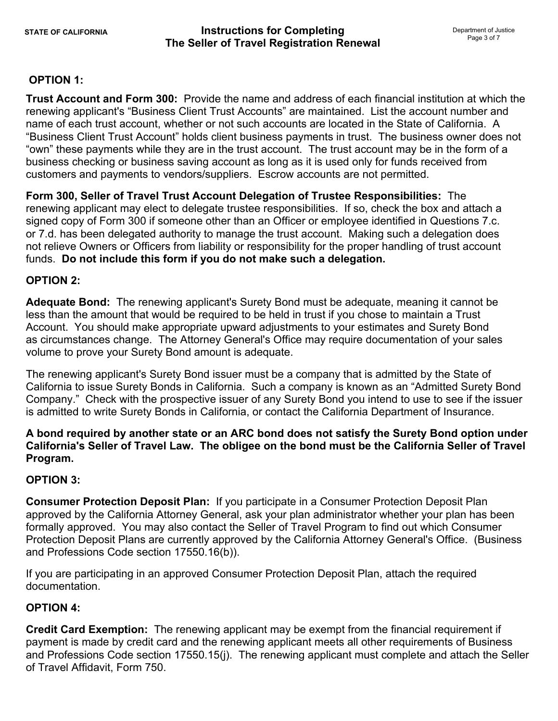## **OPTION 1:**

**Trust Account and Form 300:** Provide the name and address of each financial institution at which the renewing applicant's "Business Client Trust Accounts" are maintained. List the account number and name of each trust account, whether or not such accounts are located in the State of California. A "Business Client Trust Account" holds client business payments in trust. The business owner does not "own" these payments while they are in the trust account. The trust account may be in the form of a business checking or business saving account as long as it is used only for funds received from customers and payments to vendors/suppliers. Escrow accounts are not permitted.

**Form 300, Seller of Travel Trust Account Delegation of Trustee Responsibilities:** The renewing applicant may elect to delegate trustee responsibilities. If so, check the box and attach a signed copy of Form 300 if someone other than an Officer or employee identified in Questions 7.c. or 7.d. has been delegated authority to manage the trust account. Making such a delegation does not relieve Owners or Officers from liability or responsibility for the proper handling of trust account funds. **Do not include this form if you do not make such a delegation.**

#### **OPTION 2:**

**Adequate Bond:** The renewing applicant's Surety Bond must be adequate, meaning it cannot be less than the amount that would be required to be held in trust if you chose to maintain a Trust Account. You should make appropriate upward adjustments to your estimates and Surety Bond as circumstances change. The Attorney General's Office may require documentation of your sales volume to prove your Surety Bond amount is adequate.

The renewing applicant's Surety Bond issuer must be a company that is admitted by the State of California to issue Surety Bonds in California. Such a company is known as an "Admitted Surety Bond Company." Check with the prospective issuer of any Surety Bond you intend to use to see if the issuer is admitted to write Surety Bonds in California, or contact the California Department of Insurance.

**A bond required by another state or an ARC bond does not satisfy the Surety Bond option under California's Seller of Travel Law. The obligee on the bond must be the California Seller of Travel Program.** 

#### **OPTION 3:**

**Consumer Protection Deposit Plan:** If you participate in a Consumer Protection Deposit Plan approved by the California Attorney General, ask your plan administrator whether your plan has been formally approved. You may also contact the Seller of Travel Program to find out which Consumer Protection Deposit Plans are currently approved by the California Attorney General's Office. (Business and Professions Code section 17550.16(b)).

If you are participating in an approved Consumer Protection Deposit Plan, attach the required documentation.

## **OPTION 4:**

**Credit Card Exemption:** The renewing applicant may be exempt from the financial requirement if payment is made by credit card and the renewing applicant meets all other requirements of Business and Professions Code section 17550.15(j). The renewing applicant must complete and attach the Seller of Travel Affidavit, Form 750.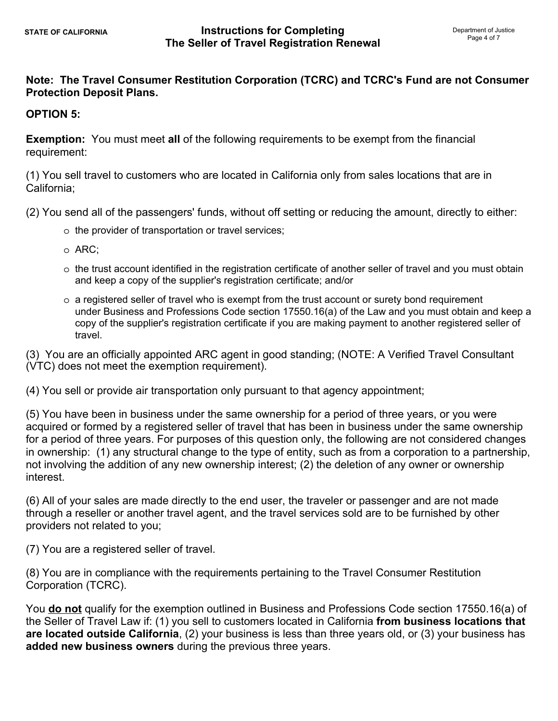# **Note: The Travel Consumer Restitution Corporation (TCRC) and TCRC's Fund are not Consumer Protection Deposit Plans.**

## **OPTION 5:**

**Exemption:** You must meet **all** of the following requirements to be exempt from the financial requirement:

(1) You sell travel to customers who are located in California only from sales locations that are in California;

(2) You send all of the passengers' funds, without off setting or reducing the amount, directly to either:

- o the provider of transportation or travel services;
- o ARC;
- o the trust account identified in the registration certificate of another seller of travel and you must obtain and keep a copy of the supplier's registration certificate; and/or
- $\circ$  a registered seller of travel who is exempt from the trust account or surety bond requirement under Business and Professions Code section 17550.16(a) of the Law and you must obtain and keep a copy of the supplier's registration certificate if you are making payment to another registered seller of travel.

(3) You are an officially appointed ARC agent in good standing; (NOTE: A Verified Travel Consultant (VTC) does not meet the exemption requirement).

(4) You sell or provide air transportation only pursuant to that agency appointment;

(5) You have been in business under the same ownership for a period of three years, or you were acquired or formed by a registered seller of travel that has been in business under the same ownership for a period of three years. For purposes of this question only, the following are not considered changes in ownership: (1) any structural change to the type of entity, such as from a corporation to a partnership, not involving the addition of any new ownership interest; (2) the deletion of any owner or ownership interest.

(6) All of your sales are made directly to the end user, the traveler or passenger and are not made through a reseller or another travel agent, and the travel services sold are to be furnished by other providers not related to you;

(7) You are a registered seller of travel.

(8) You are in compliance with the requirements pertaining to the Travel Consumer Restitution Corporation (TCRC).

You **do not** qualify for the exemption outlined in Business and Professions Code section 17550.16(a) of the Seller of Travel Law if: (1) you sell to customers located in California **from business locations that are located outside California**, (2) your business is less than three years old, or (3) your business has **added new business owners** during the previous three years.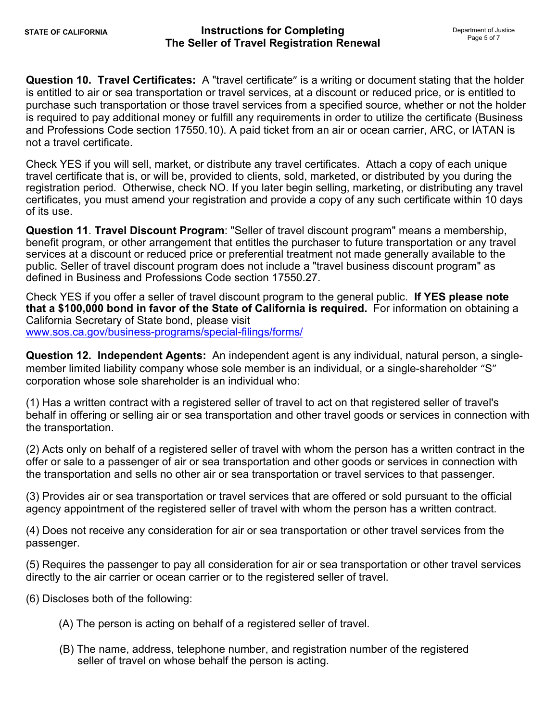**Question 10. Travel Certificates:** A "travel certificate" is a writing or document stating that the holder is entitled to air or sea transportation or travel services, at a discount or reduced price, or is entitled to purchase such transportation or those travel services from a specified source, whether or not the holder is required to pay additional money or fulfill any requirements in order to utilize the certificate (Business and Professions Code section 17550.10). A paid ticket from an air or ocean carrier, ARC, or IATAN is not a travel certificate.

Check YES if you will sell, market, or distribute any travel certificates. Attach a copy of each unique travel certificate that is, or will be, provided to clients, sold, marketed, or distributed by you during the registration period. Otherwise, check NO. If you later begin selling, marketing, or distributing any travel certificates, you must amend your registration and provide a copy of any such certificate within 10 days of its use.

**Question 11**. **Travel Discount Program**: "Seller of travel discount program" means a membership, benefit program, or other arrangement that entitles the purchaser to future transportation or any travel services at a discount or reduced price or preferential treatment not made generally available to the public. Seller of travel discount program does not include a "travel business discount program" as defined in Business and Professions Code section 17550.27.

Check YES if you offer a seller of travel discount program to the general public. **If YES please note that a \$100,000 bond in favor of the State of California is required.** For information on obtaining a California Secretary of State bond, please visit <www.sos.ca.gov/business-programs/special-filings/forms/>

**Question 12. Independent Agents:** An independent agent is any individual, natural person, a singlemember limited liability company whose sole member is an individual, or a single-shareholder "S" corporation whose sole shareholder is an individual who:

(1) Has a written contract with a registered seller of travel to act on that registered seller of travel's behalf in offering or selling air or sea transportation and other travel goods or services in connection with the transportation.

(2) Acts only on behalf of a registered seller of travel with whom the person has a written contract in the offer or sale to a passenger of air or sea transportation and other goods or services in connection with the transportation and sells no other air or sea transportation or travel services to that passenger.

(3) Provides air or sea transportation or travel services that are offered or sold pursuant to the official agency appointment of the registered seller of travel with whom the person has a written contract.

(4) Does not receive any consideration for air or sea transportation or other travel services from the passenger.

(5) Requires the passenger to pay all consideration for air or sea transportation or other travel services directly to the air carrier or ocean carrier or to the registered seller of travel.

(6) Discloses both of the following:

- (A) The person is acting on behalf of a registered seller of travel.
- (B) The name, address, telephone number, and registration number of the registered seller of travel on whose behalf the person is acting.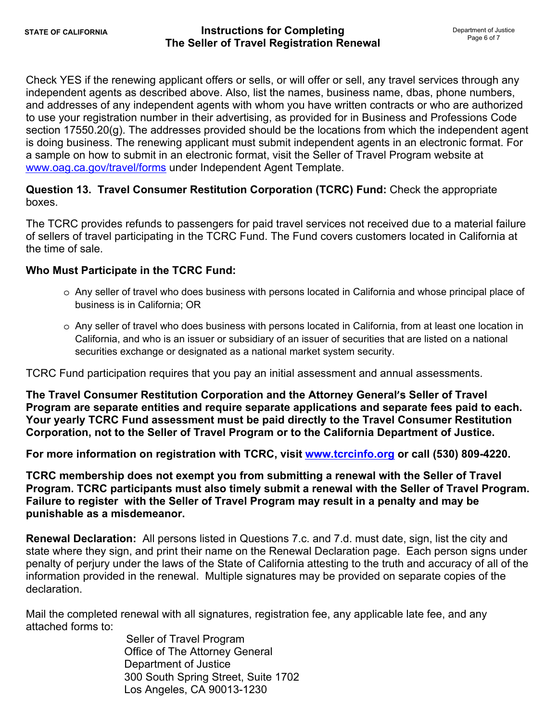Check YES if the renewing applicant offers or sells, or will offer or sell, any travel services through any independent agents as described above. Also, list the names, business name, dbas, phone numbers, and addresses of any independent agents with whom you have written contracts or who are authorized to use your registration number in their advertising, as provided for in Business and Professions Code section 17550.20(g). The addresses provided should be the locations from which the independent agent is doing business. The renewing applicant must submit independent agents in an electronic format. For a sample on how to submit in an electronic format, visit the Seller of Travel Program website at <www.oag.ca.gov/travel/forms> under Independent Agent Template.

**Question 13. Travel Consumer Restitution Corporation (TCRC) Fund:** Check the appropriate boxes.

The TCRC provides refunds to passengers for paid travel services not received due to a material failure of sellers of travel participating in the TCRC Fund. The Fund covers customers located in California at the time of sale.

## **Who Must Participate in the TCRC Fund:**

- o Any seller of travel who does business with persons located in California and whose principal place of business is in California; OR
- o Any seller of travel who does business with persons located in California, from at least one location in California, and who is an issuer or subsidiary of an issuer of securities that are listed on a national securities exchange or designated as a national market system security.

TCRC Fund participation requires that you pay an initial assessment and annual assessments.

**The Travel Consumer Restitution Corporation and the Attorney General's Seller of Travel Program are separate entities and require separate applications and separate fees paid to each. Your yearly TCRC Fund assessment must be paid directly to the Travel Consumer Restitution Corporation, not to the Seller of Travel Program or to the California Department of Justice.** 

**For more information on registration with TCRC, visit [www.tcrcinfo.org](http://www.tcrcinfo.org) or call (530) 809-4220.** 

**TCRC membership does not exempt you from submitting a renewal with the Seller of Travel Program. TCRC participants must also timely submit a renewal with the Seller of Travel Program. Failure to register with the Seller of Travel Program may result in a penalty and may be punishable as a misdemeanor.** 

**Renewal Declaration:** All persons listed in Questions 7.c. and 7.d. must date, sign, list the city and state where they sign, and print their name on the Renewal Declaration page. Each person signs under penalty of perjury under the laws of the State of California attesting to the truth and accuracy of all of the information provided in the renewal. Multiple signatures may be provided on separate copies of the declaration.

Mail the completed renewal with all signatures, registration fee, any applicable late fee, and any attached forms to:

> Seller of Travel Program Office of The Attorney General Department of Justice 300 South Spring Street, Suite 1702 Los Angeles, CA 90013-1230